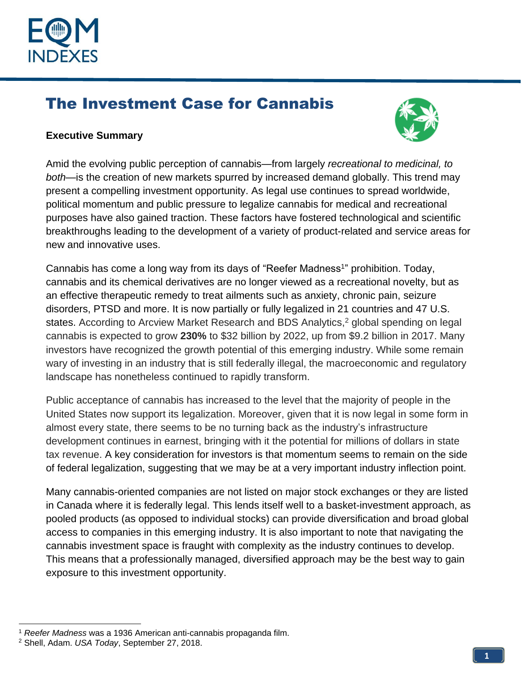

# The Investment Case for Cannabis



#### **Executive Summary**

Amid the evolving public perception of cannabis—from largely *recreational to medicinal, to both—*is the creation of new markets spurred by increased demand globally. This trend may present a compelling investment opportunity. As legal use continues to spread worldwide, political momentum and public pressure to legalize cannabis for medical and recreational purposes have also gained traction. These factors have fostered technological and scientific breakthroughs leading to the development of a variety of product-related and service areas for new and innovative uses.

Cannabis has come a long way from its days of "Reefer Madness<sup>1</sup>" prohibition. Today, cannabis and its chemical derivatives are no longer viewed as a recreational novelty, but as an effective therapeutic remedy to treat ailments such as anxiety, chronic pain, seizure disorders, PTSD and more. It is now partially or fully legalized in 21 countries and 47 U.S. states. According to Arcview Market Research and BDS Analytics, <sup>2</sup> global spending on legal cannabis is expected to grow **230%** to \$32 billion by 2022, up from \$9.2 billion in 2017. Many investors have recognized the growth potential of this emerging industry. While some remain wary of investing in an industry that is still federally illegal, the macroeconomic and regulatory landscape has nonetheless continued to rapidly transform.

Public acceptance of cannabis has increased to the level that the majority of people in the United States now support its legalization. Moreover, given that it is now legal in some form in almost every state, there seems to be no turning back as the industry's infrastructure development continues in earnest, bringing with it the potential for millions of dollars in state tax revenue. A key consideration for investors is that momentum seems to remain on the side of federal legalization, suggesting that we may be at a very important industry inflection point.

Many cannabis-oriented companies are not listed on major stock exchanges or they are listed in Canada where it is federally legal. This lends itself well to a basket-investment approach, as pooled products (as opposed to individual stocks) can provide diversification and broad global access to companies in this emerging industry. It is also important to note that navigating the cannabis investment space is fraught with complexity as the industry continues to develop. This means that a professionally managed, diversified approach may be the best way to gain exposure to this investment opportunity.

<sup>1</sup> *Reefer Madness* was a 1936 American anti-cannabis propaganda film.

<sup>2</sup> Shell, Adam. *USA Today*, September 27, 2018.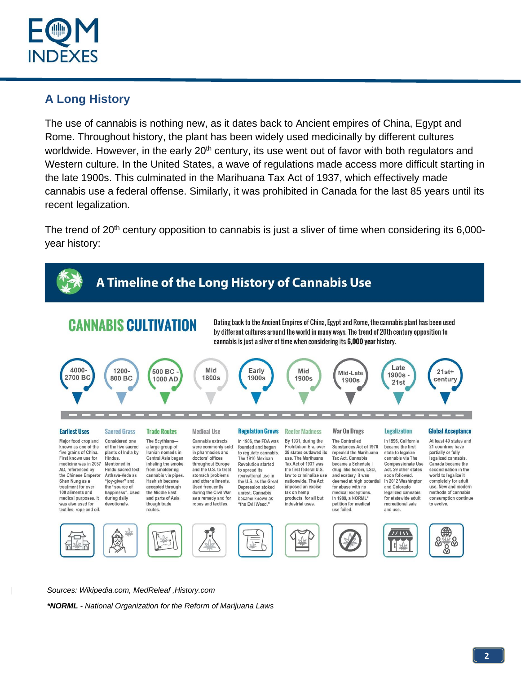

## **A Long History**

The use of cannabis is nothing new, as it dates back to Ancient empires of China, Egypt and Rome. Throughout history, the plant has been widely used medicinally by different cultures worldwide. However, in the early 20<sup>th</sup> century, its use went out of favor with both regulators and Western culture. In the United States, a wave of regulations made access more difficult starting in the late 1900s. This culminated in the Marihuana Tax Act of 1937, which effectively made cannabis use a federal offense. Similarly, it was prohibited in Canada for the last 85 years until its recent legalization.

The trend of 20<sup>th</sup> century opposition to cannabis is just a sliver of time when considering its 6,000year history:



*Sources: Wikipedia.com, MedReleaf ,History.com*

*\*NORML - National Organization for the Reform of Marijuana Laws*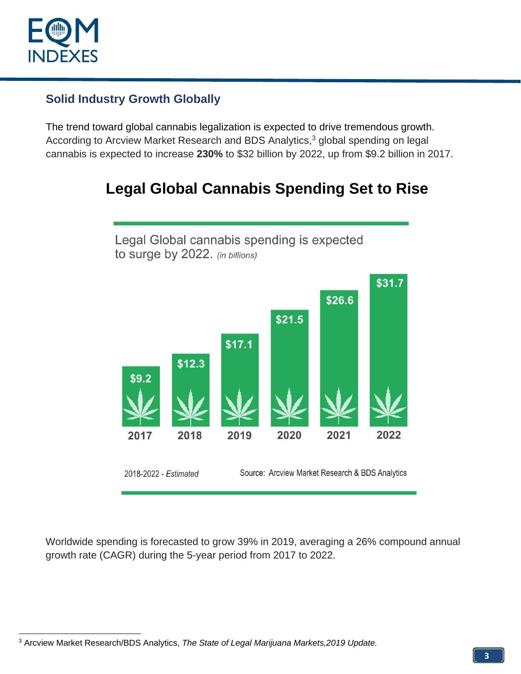

### **Solid Industry Growth Globally**

The trend toward global cannabis legalization is expected to drive tremendous growth. According to Arcview Market Research and BDS Analytics, <sup>3</sup> global spending on legal cannabis is expected to increase **230%** to \$32 billion by 2022, up from \$9.2 billion in 2017.

# **Legal Global Cannabis Spending Set to Rise**



Worldwide spending is forecasted to grow 39% in 2019, averaging a 26% compound annual growth rate (CAGR) during the 5-year period from 2017 to 2022.

<sup>3</sup> Arcview Market Research/BDS Analytics, *The State of Legal Marijuana Markets,2019 Update.*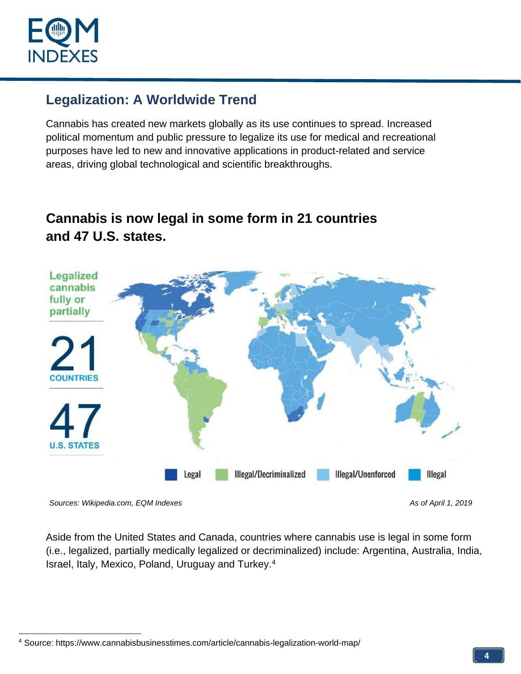

## **Legalization: A Worldwide Trend**

Cannabis has created new markets globally as its use continues to spread. Increased political momentum and public pressure to legalize its use for medical and recreational purposes have led to new and innovative applications in product-related and service areas, driving global technological and scientific breakthroughs.

## **Cannabis is now legal in some form in 21 countries and 47 U.S. states.**



Sources: Wikipedia.com, EQM Indexes As of April 1, 2019 and As of April 1, 2019

Aside from the United States and Canada, countries where cannabis use is legal in some form (i.e., legalized, partially medically legalized or decriminalized) include: Argentina, Australia, India, Israel, Italy, Mexico, Poland, Uruguay and Turkey.<sup>4</sup>

<sup>4</sup> Source:<https://www.cannabisbusinesstimes.com/article/cannabis-legalization-world-map/>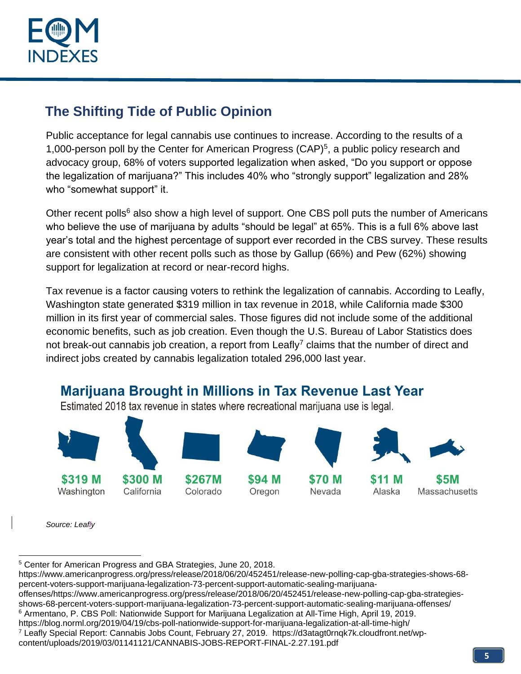

## **The Shifting Tide of Public Opinion**

Public acceptance for legal cannabis use continues to increase. According to the results of a 1,000-person poll by the Center for American Progress (CAP)<sup>5</sup>, a public policy research and advocacy group, 68% of voters supported legalization when asked, "Do you support or oppose the legalization of marijuana?" This includes 40% who "strongly support" legalization and 28% who "somewhat support" it.

Other recent polls<sup>6</sup> also show a high level of support. One CBS poll puts the number of Americans who believe the use of marijuana by adults "should be legal" at 65%. This is a full 6% above last year's total and the highest percentage of support ever recorded in the CBS survey. These results are consistent with other recent polls such as those by Gallup (66%) and Pew (62%) showing support for legalization at record or near-record highs.

Tax revenue is a factor causing voters to rethink the legalization of cannabis. According to Leafly, Washington state generated \$319 million in tax revenue in 2018, while California made \$300 million in its first year of commercial sales. Those figures did not include some of the additional economic benefits, such as job creation. Even though the U.S. Bureau of Labor Statistics does not break-out cannabis job creation, a report from Leafly<sup>7</sup> claims that the number of direct and indirect jobs created by cannabis legalization totaled 296,000 last year.



*Source: Leafly*

<sup>5</sup> Center for American Progress and GBA Strategies, June 20, 2018.

https://www.americanprogress.org/press/release/2018/06/20/452451/release-new-polling-cap-gba-strategies-shows-68 percent-voters-support-marijuana-legalization-73-percent-support-automatic-sealing-marijuana-

offenses/https://www.americanprogress.org/press/release/2018/06/20/452451/release-new-polling-cap-gba-strategiesshows-68-percent-voters-support-marijuana-legalization-73-percent-support-automatic-sealing-marijuana-offenses/

<sup>6</sup> Armentano, P. CBS Poll: Nationwide Support for Marijuana Legalization at All-Time High, April 19, 2019.

https://blog.norml.org/2019/04/19/cbs-poll-nationwide-support-for-marijuana-legalization-at-all-time-high/

<sup>7</sup> Leafly Special Report: Cannabis Jobs Count, February 27, 2019. https://d3atagt0rnqk7k.cloudfront.net/wpcontent/uploads/2019/03/01141121/CANNABIS-JOBS-REPORT-FINAL-2.27.191.pdf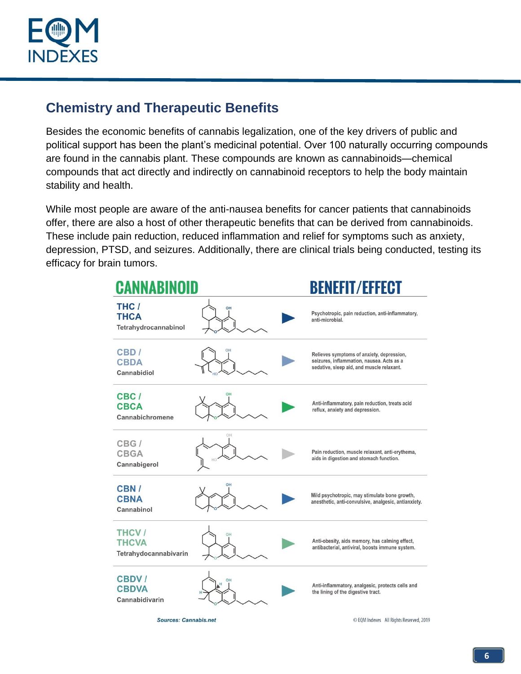

## **Chemistry and Therapeutic Benefits**

Besides the economic benefits of cannabis legalization, one of the key drivers of public and political support has been the plant's medicinal potential. Over 100 naturally occurring compounds are found in the cannabis plant. These compounds are known as cannabinoids—chemical compounds that act directly and indirectly on cannabinoid receptors to help the body maintain stability and health.

While most people are aware of the anti-nausea benefits for cancer patients that cannabinoids offer, there are also a host of other therapeutic benefits that can be derived from cannabinoids. These include pain reduction, reduced inflammation and relief for symptoms such as anxiety, depression, PTSD, and seizures. Additionally, there are clinical trials being conducted, testing its efficacy for brain tumors.



C EQM Indexes All Rights Reserved, 2019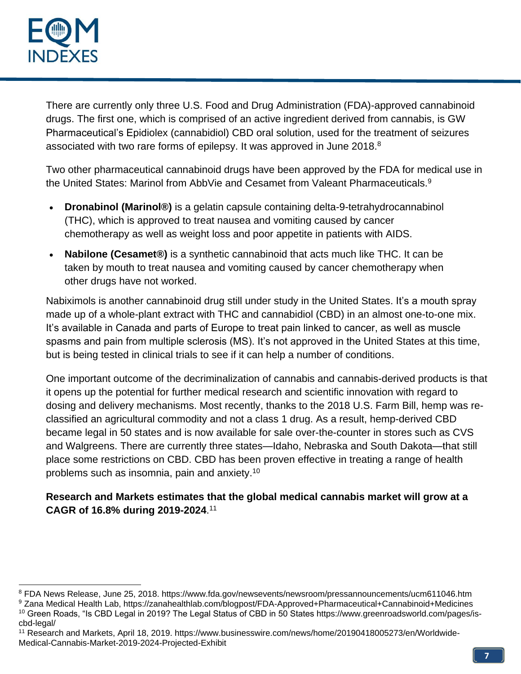

There are currently only three U.S. Food and Drug Administration (FDA)-approved cannabinoid drugs. The first one, which is comprised of an active ingredient derived from cannabis, is GW Pharmaceutical's Epidiolex (cannabidiol) CBD oral solution, used for the treatment of seizures associated with two rare forms of epilepsy. It was approved in June 2018. $8$ 

Two other pharmaceutical cannabinoid drugs have been approved by the FDA for medical use in the United States: Marinol from AbbVie and Cesamet from Valeant Pharmaceuticals.<sup>9</sup>

- **Dronabinol (Marinol®)** is a gelatin capsule containing delta-9-tetrahydrocannabinol (THC), which is approved to treat nausea and vomiting caused by cancer chemotherapy as well as weight loss and poor appetite in patients with AIDS.
- **Nabilone (Cesamet®)** is a synthetic cannabinoid that acts much like THC. It can be taken by mouth to treat nausea and vomiting caused by cancer chemotherapy when other drugs have not worked.

Nabiximols is another cannabinoid drug still under study in the United States. It's a mouth spray made up of a whole-plant extract with THC and cannabidiol (CBD) in an almost one-to-one mix. It's available in Canada and parts of Europe to treat pain linked to cancer, as well as muscle spasms and pain from multiple sclerosis (MS). It's not approved in the United States at this time, but is being tested in clinical trials to see if it can help a number of conditions.

One important outcome of the decriminalization of cannabis and cannabis-derived products is that it opens up the potential for further medical research and scientific innovation with regard to dosing and delivery mechanisms. Most recently, thanks to the 2018 U.S. Farm Bill, hemp was reclassified an agricultural commodity and not a class 1 drug. As a result, hemp-derived CBD became legal in 50 states and is now available for sale over-the-counter in stores such as CVS and Walgreens. There are currently three states—Idaho, Nebraska and South Dakota—that still place some restrictions on CBD. CBD has been proven effective in treating a range of health problems such as insomnia, pain and anxiety.<sup>10</sup>

#### **Research and Markets estimates that the global medical cannabis market will grow at a CAGR of 16.8% during 2019-2024**. 11

<sup>8</sup> FDA News Release, June 25, 2018. https://www.fda.gov/newsevents/newsroom/pressannouncements/ucm611046.htm <sup>9</sup> Zana Medical Health Lab, https://zanahealthlab.com/blogpost/FDA-Approved+Pharmaceutical+Cannabinoid+Medicines <sup>10</sup> Green Roads, "Is CBD Legal in 2019? The Legal Status of CBD in 50 States https://www.greenroadsworld.com/pages/is-

cbd-legal/ <sup>11</sup> Research and Markets, April 18, 2019. https://www.businesswire.com/news/home/20190418005273/en/Worldwide-Medical-Cannabis-Market-2019-2024-Projected-Exhibit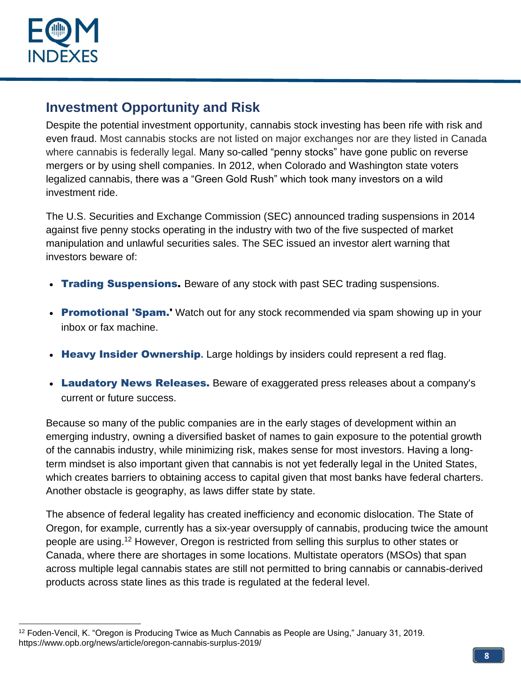

## **Investment Opportunity and Risk**

Despite the potential investment opportunity, cannabis stock investing has been rife with risk and even fraud. Most cannabis stocks are not listed on major exchanges nor are they listed in Canada where cannabis is federally legal. Many so-called "penny stocks" have gone public on reverse mergers or by using shell companies. In 2012, when Colorado and Washington state voters legalized cannabis, there was a "Green Gold Rush" which took many investors on a wild investment ride.

The U.S. Securities and Exchange Commission (SEC) announced trading suspensions in 2014 against five penny stocks operating in the industry with two of the five suspected of market manipulation and unlawful securities sales. The SEC issued an investor alert warning that investors beware of:

- Trading Suspensions. Beware of any stock with past SEC trading suspensions.
- Promotional 'Spam.' Watch out for any stock recommended via spam showing up in your inbox or fax machine.
- Heavy Insider Ownership. Large holdings by insiders could represent a red flag.
- Laudatory News Releases. Beware of exaggerated press releases about a company's current or future success.

Because so many of the public companies are in the early stages of development within an emerging industry, owning a diversified basket of names to gain exposure to the potential growth of the cannabis industry, while minimizing risk, makes sense for most investors. Having a longterm mindset is also important given that cannabis is not yet federally legal in the United States, which creates barriers to obtaining access to capital given that most banks have federal charters. Another obstacle is geography, as laws differ state by state.

The absence of federal legality has created inefficiency and economic dislocation. The State of Oregon, for example, currently has a six-year oversupply of cannabis, producing twice the amount people are using.<sup>12</sup> However, Oregon is restricted from selling this surplus to other states or Canada, where there are shortages in some locations. Multistate operators (MSOs) that span across multiple legal cannabis states are still not permitted to bring cannabis or cannabis-derived products across state lines as this trade is regulated at the federal level.

 $12$  Foden-Vencil, K. "Oregon is Producing Twice as Much Cannabis as People are Using," January 31, 2019. https://www.opb.org/news/article/oregon-cannabis-surplus-2019/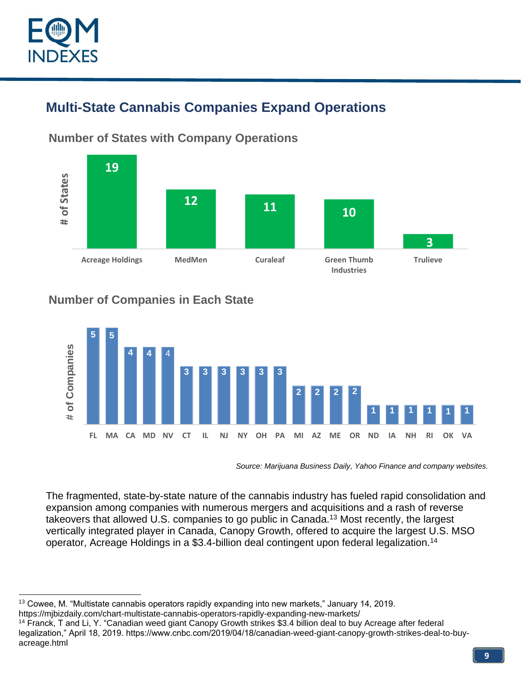

# **Multi-State Cannabis Companies Expand Operations**



**Number of States with Company Operations**

#### **Number of Companies in Each State**



*Source: Marijuana Business Daily, Yahoo Finance and company websites.*

The fragmented, state-by-state nature of the cannabis industry has fueled rapid consolidation and expansion among companies with numerous mergers and acquisitions and a rash of reverse takeovers that allowed U.S. companies to go public in Canada.<sup>13</sup> Most recently, the largest vertically integrated player in Canada, Canopy Growth, offered to acquire the largest U.S. MSO operator, Acreage Holdings in a \$3.4-billion deal contingent upon federal legalization.<sup>14</sup>

<sup>14</sup> Franck, T and Li, Y. "Canadian weed giant Canopy Growth strikes \$3.4 billion deal to buy Acreage after federal legalization," April 18, 2019. https://www.cnbc.com/2019/04/18/canadian-weed-giant-canopy-growth-strikes-deal-to-buyacreage.html

<sup>&</sup>lt;sup>13</sup> Cowee, M. "Multistate cannabis operators rapidly expanding into new markets," January 14, 2019. https://mjbizdaily.com/chart-multistate-cannabis-operators-rapidly-expanding-new-markets/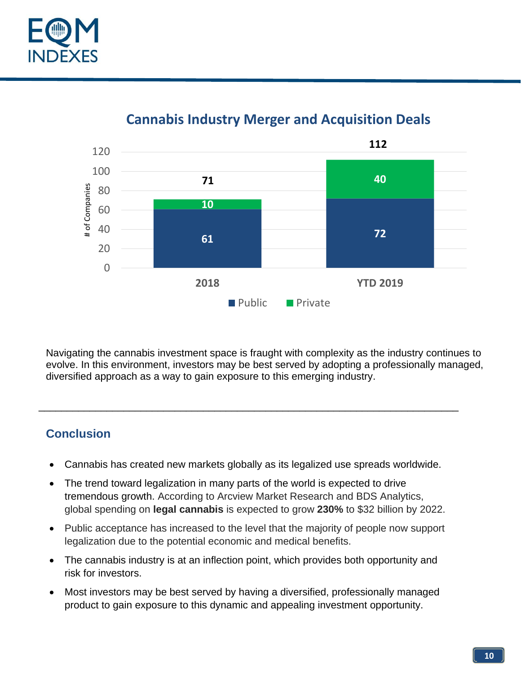



# **Cannabis Industry Merger and Acquisition Deals**

Navigating the cannabis investment space is fraught with complexity as the industry continues to evolve. In this environment, investors may be best served by adopting a professionally managed, diversified approach as a way to gain exposure to this emerging industry.

### **Conclusion**

• Cannabis has created new markets globally as its legalized use spreads worldwide.

\_\_\_\_\_\_\_\_\_\_\_\_\_\_\_\_\_\_\_\_\_\_\_\_\_\_\_\_\_\_\_\_\_\_\_\_\_\_\_\_\_\_\_\_\_\_\_\_\_\_\_\_\_\_\_\_\_\_\_\_\_\_\_\_\_\_\_\_\_\_\_\_\_\_

- The trend toward legalization in many parts of the world is expected to drive tremendous growth. According to Arcview Market Research and BDS Analytics, global spending on **legal cannabis** is expected to grow **230%** to \$32 billion by 2022.
- Public acceptance has increased to the level that the majority of people now support legalization due to the potential economic and medical benefits.
- The cannabis industry is at an inflection point, which provides both opportunity and risk for investors.
- Most investors may be best served by having a diversified, professionally managed product to gain exposure to this dynamic and appealing investment opportunity.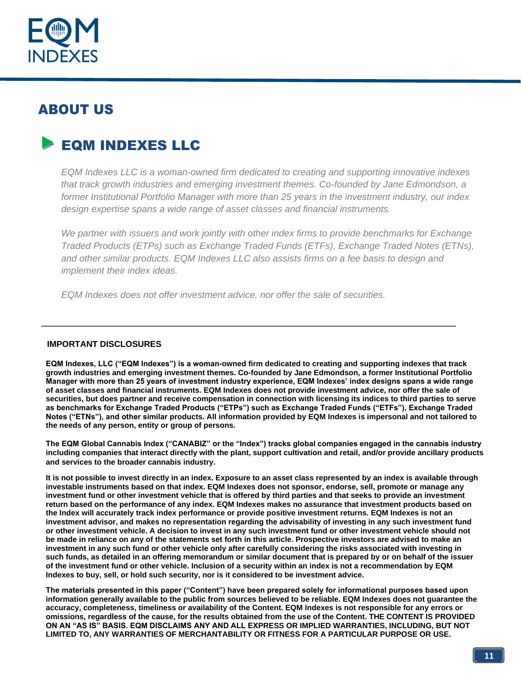

# ABOUT US

# EQM INDEXES LLC

*EQM Indexes LLC is a woman-owned firm dedicated to creating and supporting innovative indexes that track growth industries and emerging investment themes. Co-founded by Jane Edmondson, a former Institutional Portfolio Manager with more than 25 years in the investment industry, our index design expertise spans a wide range of asset classes and financial instruments.*

*We partner with issuers and work jointly with other index firms to provide benchmarks for Exchange Traded Products (ETPs) such as Exchange Traded Funds (ETFs), Exchange Traded Notes (ETNs), and other similar products. EQM Indexes LLC also assists firms on a fee basis to design and implement their index ideas.*

*EQM Indexes does not offer investment advice, nor offer the sale of securities.*

#### **IMPORTANT DISCLOSURES**

**EQM Indexes, LLC ("EQM Indexes") is a woman-owned firm dedicated to creating and supporting indexes that track growth industries and emerging investment themes. Co-founded by Jane Edmondson, a former Institutional Portfolio Manager with more than 25 years of investment industry experience, EQM Indexes' index designs spans a wide range of asset classes and financial instruments. EQM Indexes does not provide investment advice, nor offer the sale of securities, but does partner and receive compensation in connection with licensing its indices to third parties to serve as benchmarks for Exchange Traded Products ("ETPs") such as Exchange Traded Funds ("ETFs"), Exchange Traded Notes ("ETNs"), and other similar products. All information provided by EQM Indexes is impersonal and not tailored to the needs of any person, entity or group of persons.**

\_\_\_\_\_\_\_\_\_\_\_\_\_\_\_\_\_\_\_\_\_\_\_\_\_\_\_\_\_\_\_\_\_\_\_\_\_\_\_\_\_\_\_\_\_\_\_\_\_\_\_\_\_\_\_\_\_\_\_\_\_\_\_\_\_\_\_\_\_\_\_\_\_

**The EQM Global Cannabis Index ("CANABIZ" or the "Index") tracks global companies engaged in the cannabis industry including companies that interact directly with the plant, support cultivation and retail, and/or provide ancillary products and services to the broader cannabis industry.** 

**It is not possible to invest directly in an index. Exposure to an asset class represented by an index is available through investable instruments based on that index. EQM Indexes does not sponsor, endorse, sell, promote or manage any investment fund or other investment vehicle that is offered by third parties and that seeks to provide an investment return based on the performance of any index. EQM Indexes makes no assurance that investment products based on the Index will accurately track index performance or provide positive investment returns. EQM Indexes is not an investment advisor, and makes no representation regarding the advisability of investing in any such investment fund or other investment vehicle. A decision to invest in any such investment fund or other investment vehicle should not be made in reliance on any of the statements set forth in this article. Prospective investors are advised to make an investment in any such fund or other vehicle only after carefully considering the risks associated with investing in such funds, as detailed in an offering memorandum or similar document that is prepared by or on behalf of the issuer of the investment fund or other vehicle. Inclusion of a security within an index is not a recommendation by EQM Indexes to buy, sell, or hold such security, nor is it considered to be investment advice.**

**The materials presented in this paper ("Content") have been prepared solely for informational purposes based upon information generally available to the public from sources believed to be reliable. EQM Indexes does not guarantee the accuracy, completeness, timeliness or availability of the Content. EQM Indexes is not responsible for any errors or omissions, regardless of the cause, for the results obtained from the use of the Content. THE CONTENT IS PROVIDED ON AN "AS IS" BASIS. EQM DISCLAIMS ANY AND ALL EXPRESS OR IMPLIED WARRANTIES, INCLUDING, BUT NOT LIMITED TO, ANY WARRANTIES OF MERCHANTABILITY OR FITNESS FOR A PARTICULAR PURPOSE OR USE.**